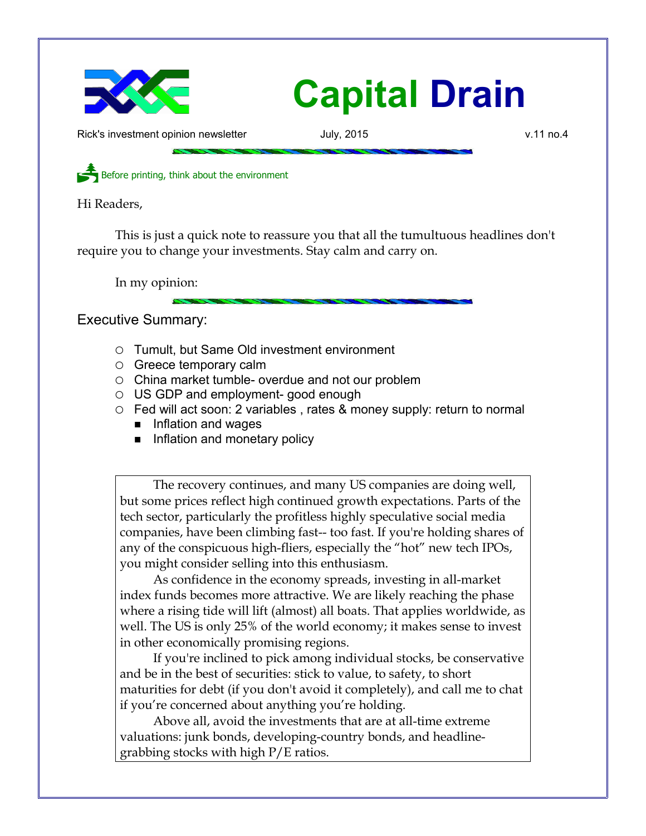

## **Capital Drain**

Rick's investment opinion newsletter and July, 2015 v.11 no.4

Before printing, think about the environment

Hi Readers,

This is just a quick note to reassure you that all the tumultuous headlines don't require you to change your investments. Stay calm and carry on.

In my opinion:

Executive Summary:

- Tumult, but Same Old investment environment
- Greece temporary calm
- China market tumble- overdue and not our problem
- US GDP and employment- good enough
- Fed will act soon: 2 variables, rates & money supply: return to normal
	- Inflation and wages
	- Inflation and monetary policy

The recovery continues, and many US companies are doing well, but some prices reflect high continued growth expectations. Parts of the tech sector, particularly the profitless highly speculative social media companies, have been climbing fast-- too fast. If you're holding shares of any of the conspicuous high-fliers, especially the "hot" new tech IPOs, you might consider selling into this enthusiasm.

As confidence in the economy spreads, investing in all-market index funds becomes more attractive. We are likely reaching the phase where a rising tide will lift (almost) all boats. That applies worldwide, as well. The US is only 25% of the world economy; it makes sense to invest in other economically promising regions.

If you're inclined to pick among individual stocks, be conservative and be in the best of securities: stick to value, to safety, to short maturities for debt (if you don't avoid it completely), and call me to chat if you're concerned about anything you're holding.

Above all, avoid the investments that are at all-time extreme valuations: junk bonds, developing-country bonds, and headlinegrabbing stocks with high P/E ratios.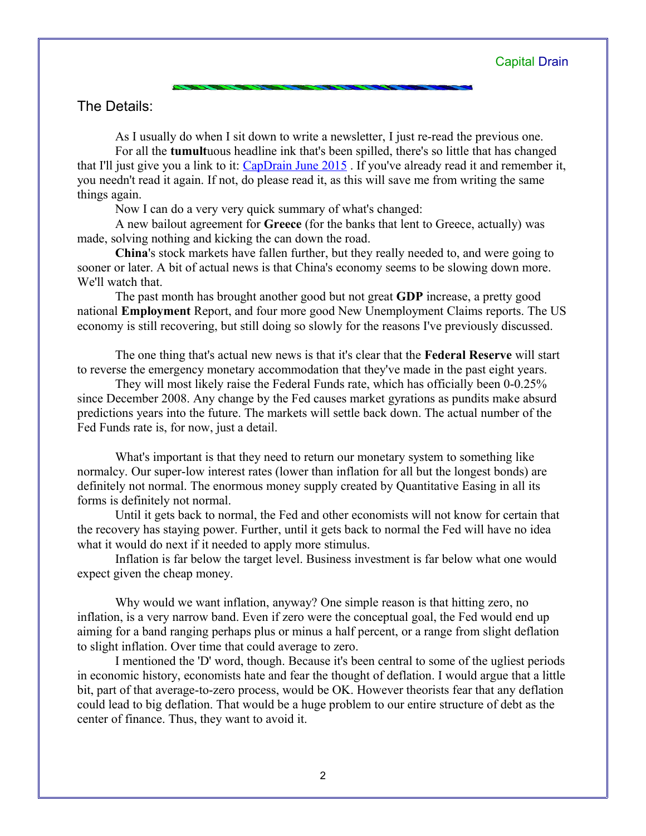## The Details:

As I usually do when I sit down to write a newsletter, I just re-read the previous one. For all the **tumult**uous headline ink that's been spilled, there's so little that has changed that I'll just give you a link to it: [CapDrain June 2015](http://www.longspliceinvest.com/CapDrain/CapDrain_v11n3.pdf) . If you've already read it and remember it, you needn't read it again. If not, do please read it, as this will save me from writing the same things again.

Now I can do a very very quick summary of what's changed:

A new bailout agreement for **Greece** (for the banks that lent to Greece, actually) was made, solving nothing and kicking the can down the road.

**China**'s stock markets have fallen further, but they really needed to, and were going to sooner or later. A bit of actual news is that China's economy seems to be slowing down more. We'll watch that.

The past month has brought another good but not great **GDP** increase, a pretty good national **Employment** Report, and four more good New Unemployment Claims reports. The US economy is still recovering, but still doing so slowly for the reasons I've previously discussed.

The one thing that's actual new news is that it's clear that the **Federal Reserve** will start to reverse the emergency monetary accommodation that they've made in the past eight years.

They will most likely raise the Federal Funds rate, which has officially been 0-0.25% since December 2008. Any change by the Fed causes market gyrations as pundits make absurd predictions years into the future. The markets will settle back down. The actual number of the Fed Funds rate is, for now, just a detail.

What's important is that they need to return our monetary system to something like normalcy. Our super-low interest rates (lower than inflation for all but the longest bonds) are definitely not normal. The enormous money supply created by Quantitative Easing in all its forms is definitely not normal.

Until it gets back to normal, the Fed and other economists will not know for certain that the recovery has staying power. Further, until it gets back to normal the Fed will have no idea what it would do next if it needed to apply more stimulus.

Inflation is far below the target level. Business investment is far below what one would expect given the cheap money.

Why would we want inflation, anyway? One simple reason is that hitting zero, no inflation, is a very narrow band. Even if zero were the conceptual goal, the Fed would end up aiming for a band ranging perhaps plus or minus a half percent, or a range from slight deflation to slight inflation. Over time that could average to zero.

I mentioned the 'D' word, though. Because it's been central to some of the ugliest periods in economic history, economists hate and fear the thought of deflation. I would argue that a little bit, part of that average-to-zero process, would be OK. However theorists fear that any deflation could lead to big deflation. That would be a huge problem to our entire structure of debt as the center of finance. Thus, they want to avoid it.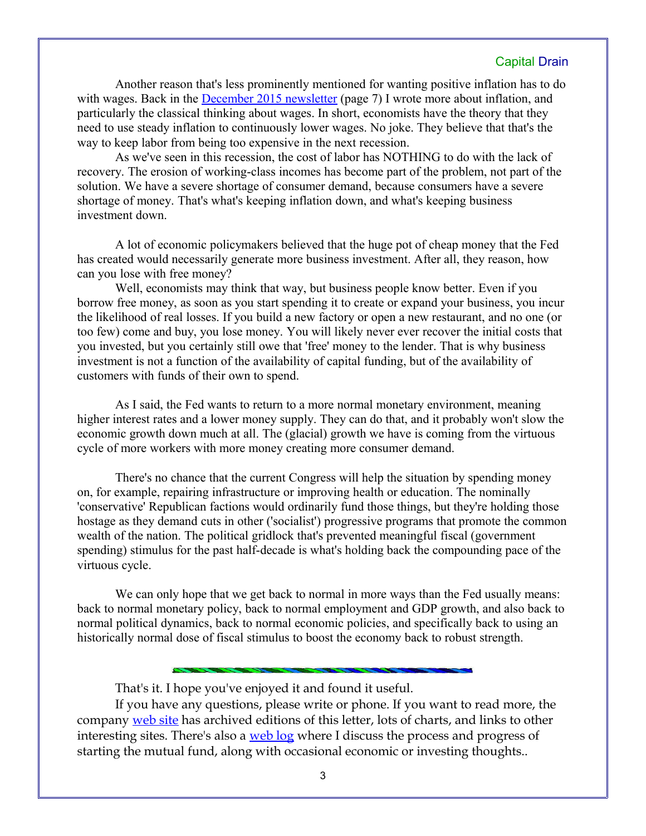## Capital Drain

Another reason that's less prominently mentioned for wanting positive inflation has to do with wages. Back in the **December 2015 newsletter** (page 7) I wrote more about inflation, and particularly the classical thinking about wages. In short, economists have the theory that they need to use steady inflation to continuously lower wages. No joke. They believe that that's the way to keep labor from being too expensive in the next recession.

As we've seen in this recession, the cost of labor has NOTHING to do with the lack of recovery. The erosion of working-class incomes has become part of the problem, not part of the solution. We have a severe shortage of consumer demand, because consumers have a severe shortage of money. That's what's keeping inflation down, and what's keeping business investment down.

A lot of economic policymakers believed that the huge pot of cheap money that the Fed has created would necessarily generate more business investment. After all, they reason, how can you lose with free money?

Well, economists may think that way, but business people know better. Even if you borrow free money, as soon as you start spending it to create or expand your business, you incur the likelihood of real losses. If you build a new factory or open a new restaurant, and no one (or too few) come and buy, you lose money. You will likely never ever recover the initial costs that you invested, but you certainly still owe that 'free' money to the lender. That is why business investment is not a function of the availability of capital funding, but of the availability of customers with funds of their own to spend.

As I said, the Fed wants to return to a more normal monetary environment, meaning higher interest rates and a lower money supply. They can do that, and it probably won't slow the economic growth down much at all. The (glacial) growth we have is coming from the virtuous cycle of more workers with more money creating more consumer demand.

There's no chance that the current Congress will help the situation by spending money on, for example, repairing infrastructure or improving health or education. The nominally 'conservative' Republican factions would ordinarily fund those things, but they're holding those hostage as they demand cuts in other ('socialist') progressive programs that promote the common wealth of the nation. The political gridlock that's prevented meaningful fiscal (government spending) stimulus for the past half-decade is what's holding back the compounding pace of the virtuous cycle.

We can only hope that we get back to normal in more ways than the Fed usually means: back to normal monetary policy, back to normal employment and GDP growth, and also back to normal political dynamics, back to normal economic policies, and specifically back to using an historically normal dose of fiscal stimulus to boost the economy back to robust strength.

That's it. I hope you've enjoyed it and found it useful.

If you have any questions, please write or phone. If you want to read more, the company [web site](http://www.LongspliceInvest.com/newsletter.shtml) has archived editions of this letter, lots of charts, and links to other interesting sites. There's also a [web log](http://www.LongspliceInvestments.com/ricksblog) where I discuss the process and progress of starting the mutual fund, along with occasional economic or investing thoughts..